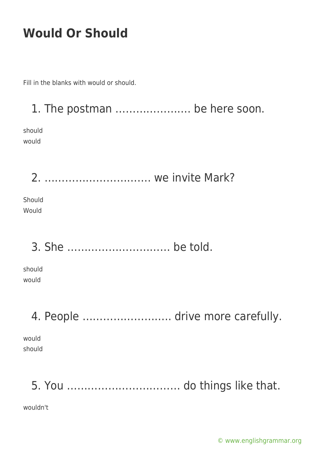Fill in the blanks with would or should.

1. The postman …………………. be here soon. should would 2. …………………………. we invite Mark? Should Would 3. She ………………………… be told. should would 4. People …………………….. drive more carefully. would should

5. You …………………………… do things like that.

wouldn't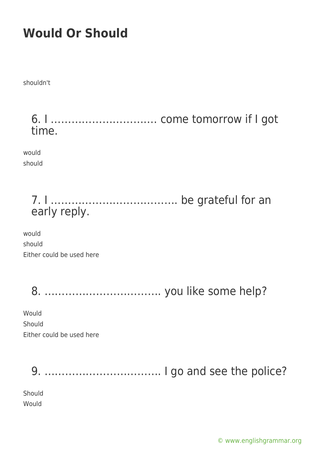shouldn't

6. I …………………………. come tomorrow if I got time.

would should

### 7. I ………………………………. be grateful for an early reply.

would should Either could be used here

8. ……………………………. you like some help?

Would Should Either could be used here

9. ……………………………. I go and see the police?

Should Would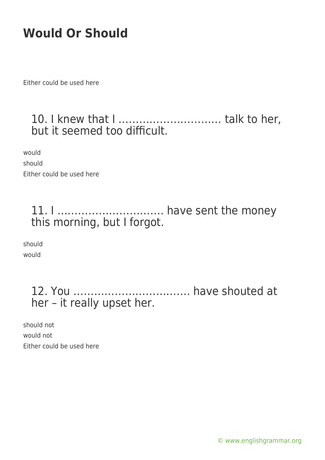Either could be used here

### 10. I knew that I ………………………… talk to her, but it seemed too difficult.

would should Either could be used here

#### 11. I …………………………. have sent the money this morning, but I forgot.

should would

### 12. You ……………………………. have shouted at her – it really upset her.

should not would not Either could be used here